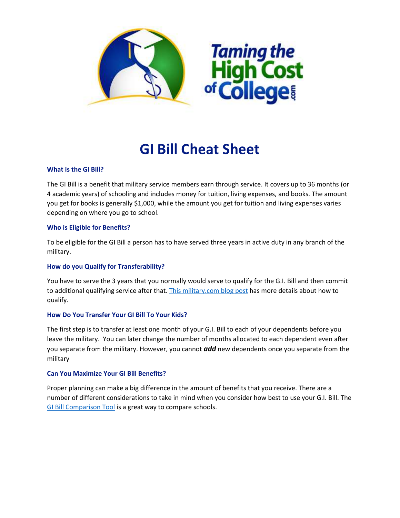

# **GI Bill Cheat Sheet**

# **What is the GI Bill?**

The GI Bill is a benefit that military service members earn through service. It covers up to 36 months (or 4 academic years) of schooling and includes money for tuition, living expenses, and books. The amount you get for books is generally \$1,000, while the amount you get for tuition and living expenses varies depending on where you go to school.

#### **Who is Eligible for Benefits?**

To be eligible for the GI Bill a person has to have served three years in active duty in any branch of the military.

# **How do you Qualify for Transferability?**

You have to serve the 3 years that you normally would serve to qualify for the G.I. Bill and then commit to additional qualifying service after that. [This military.com blog](http://www.military.com/education/gi-bill/post-911-gi-bill-transferability-fact-sheet.html) post has more details about how to qualify.

# **How Do You Transfer Your GI Bill To Your Kids?**

The first step is to transfer at least one month of your G.I. Bill to each of your dependents before you leave the military. You can later change the number of months allocated to each dependent even after you separate from the military. However, you cannot *add* new dependents once you separate from the military

#### **Can You Maximize Your GI Bill Benefits?**

Proper planning can make a big difference in the amount of benefits that you receive. There are a number of different considerations to take in mind when you consider how best to use your G.I. Bill. The [GI Bill Comparison Tool](https://department-of-veterans-affairs.github.io/gi-bill-comparison-tool/#about_your_school) is a great way to compare schools.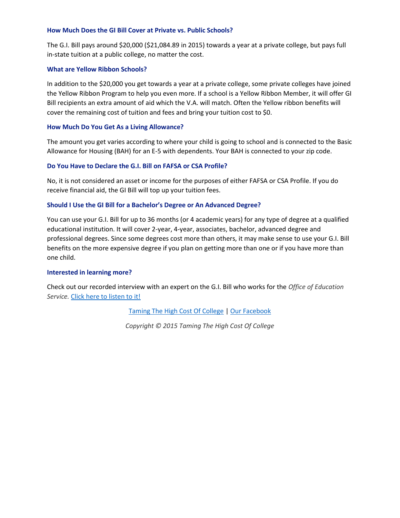#### **How Much Does the GI Bill Cover at Private vs. Public Schools?**

The G.I. Bill pays around \$20,000 (\$21,084.89 in 2015) towards a year at a private college, but pays full in-state tuition at a public college, no matter the cost.

#### **What are Yellow Ribbon Schools?**

In addition to the \$20,000 you get towards a year at a private college, some private colleges have joined the Yellow Ribbon Program to help you even more. If a school is a Yellow Ribbon Member, it will offer GI Bill recipients an extra amount of aid which the V.A. will match. Often the Yellow ribbon benefits will cover the remaining cost of tuition and fees and bring your tuition cost to \$0.

#### **How Much Do You Get As a Living Allowance?**

The amount you get varies according to where your child is going to school and is connected to the Basic Allowance for Housing (BAH) for an E-5 with dependents. Your BAH is connected to your zip code.

# **Do You Have to Declare the G.I. Bill on FAFSA or CSA Profile?**

No, it is not considered an asset or income for the purposes of either FAFSA or CSA Profile. If you do receive financial aid, the GI Bill will top up your tuition fees.

#### **Should I Use the GI Bill for a Bachelor's Degree or An Advanced Degree?**

You can use your G.I. Bill for up to 36 months (or 4 academic years) for any type of degree at a qualified educational institution. It will cover 2-year, 4-year, associates, bachelor, advanced degree and professional degrees. Since some degrees cost more than others, it may make sense to use your G.I. Bill benefits on the more expensive degree if you plan on getting more than one or if you have more than one child.

#### **Interested in learning more?**

Check out our recorded interview with an expert on the G.I. Bill who works for the *Office of Education Service.* [Click here to listen to it!](http://www.tamingthehighcostofcollege.com/benefits-of-gi-bills-to-pay-for-college/)

[Taming The High Cost Of College](http://tamingthehighcostofcollege.com/) [| Our Facebook](http://facebook.com/tamingthehighcostofcollege)

*Copyright © 2015 Taming The High Cost Of College*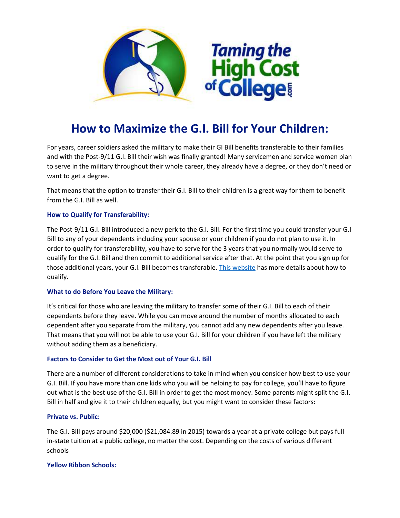

# **How to Maximize the G.I. Bill for Your Children:**

For years, career soldiers asked the military to make their GI Bill benefits transferable to their families and with the Post-9/11 G.I. Bill their wish was finally granted! Many servicemen and service women plan to serve in the military throughout their whole career, they already have a degree, or they don't need or want to get a degree.

That means that the option to transfer their G.I. Bill to their children is a great way for them to benefit from the G.I. Bill as well.

# **How to Qualify for Transferability:**

The Post-9/11 G.I. Bill introduced a new perk to the G.I. Bill. For the first time you could transfer your G.I Bill to any of your dependents including your spouse or your children if you do not plan to use it. In order to qualify for transferability, you have to serve for the 3 years that you normally would serve to qualify for the G.I. Bill and then commit to additional service after that. At the point that you sign up for those additional years, your G.I. Bill becomes transferable. [This website](http://www.military.com/education/gi-bill/post-911-gi-bill-transferability-fact-sheet.html) has more details about how to qualify.

# **What to do Before You Leave the Military:**

It's critical for those who are leaving the military to transfer some of their G.I. Bill to each of their dependents before they leave. While you can move around the number of months allocated to each dependent after you separate from the military, you cannot add any new dependents after you leave. That means that you will not be able to use your G.I. Bill for your children if you have left the military without adding them as a beneficiary.

# **Factors to Consider to Get the Most out of Your G.I. Bill**

There are a number of different considerations to take in mind when you consider how best to use your G.I. Bill. If you have more than one kids who you will be helping to pay for college, you'll have to figure out what is the best use of the G.I. Bill in order to get the most money. Some parents might split the G.I. Bill in half and give it to their children equally, but you might want to consider these factors:

# **Private vs. Public:**

The G.I. Bill pays around \$20,000 (\$21,084.89 in 2015) towards a year at a private college but pays full in-state tuition at a public college, no matter the cost. Depending on the costs of various different schools

#### **Yellow Ribbon Schools:**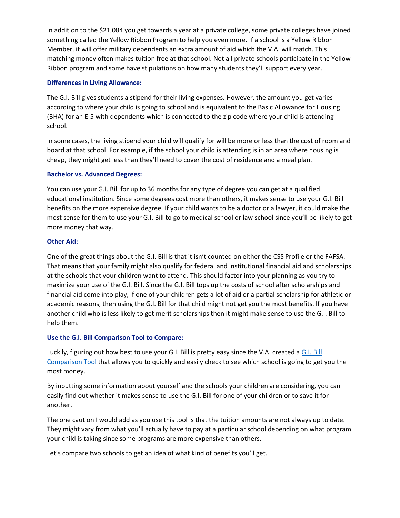In addition to the \$21,084 you get towards a year at a private college, some private colleges have joined something called the Yellow Ribbon Program to help you even more. If a school is a Yellow Ribbon Member, it will offer military dependents an extra amount of aid which the V.A. will match. This matching money often makes tuition free at that school. Not all private schools participate in the Yellow Ribbon program and some have stipulations on how many students they'll support every year.

# **Differences in Living Allowance:**

The G.I. Bill gives students a stipend for their living expenses. However, the amount you get varies according to where your child is going to school and is equivalent to the Basic Allowance for Housing (BHA) for an E-5 with dependents which is connected to the zip code where your child is attending school.

In some cases, the living stipend your child will qualify for will be more or less than the cost of room and board at that school. For example, if the school your child is attending is in an area where housing is cheap, they might get less than they'll need to cover the cost of residence and a meal plan.

# **Bachelor vs. Advanced Degrees:**

You can use your G.I. Bill for up to 36 months for any type of degree you can get at a qualified educational institution. Since some degrees cost more than others, it makes sense to use your G.I. Bill benefits on the more expensive degree. If your child wants to be a doctor or a lawyer, it could make the most sense for them to use your G.I. Bill to go to medical school or law school since you'll be likely to get more money that way.

# **Other Aid:**

One of the great things about the G.I. Bill is that it isn't counted on either the CSS Profile or the FAFSA. That means that your family might also qualify for federal and institutional financial aid and scholarships at the schools that your children want to attend. This should factor into your planning as you try to maximize your use of the G.I. Bill. Since the G.I. Bill tops up the costs of school after scholarships and financial aid come into play, if one of your children gets a lot of aid or a partial scholarship for athletic or academic reasons, then using the G.I. Bill for that child might not get you the most benefits. If you have another child who is less likely to get merit scholarships then it might make sense to use the G.I. Bill to help them.

# **Use the G.I. Bill Comparison Tool to Compare:**

Luckily, figuring out how best to use your G.I. Bill is pretty easy since the V.A. created [a G.I. Bill](https://department-of-veterans-affairs.github.io/gi-bill-comparison-tool/#about_your_school)  [Comparison Tool](https://department-of-veterans-affairs.github.io/gi-bill-comparison-tool/#about_your_school) that allows you to quickly and easily check to see which school is going to get you the most money.

By inputting some information about yourself and the schools your children are considering, you can easily find out whether it makes sense to use the G.I. Bill for one of your children or to save it for another.

The one caution I would add as you use this tool is that the tuition amounts are not always up to date. They might vary from what you'll actually have to pay at a particular school depending on what program your child is taking since some programs are more expensive than others.

Let's compare two schools to get an idea of what kind of benefits you'll get.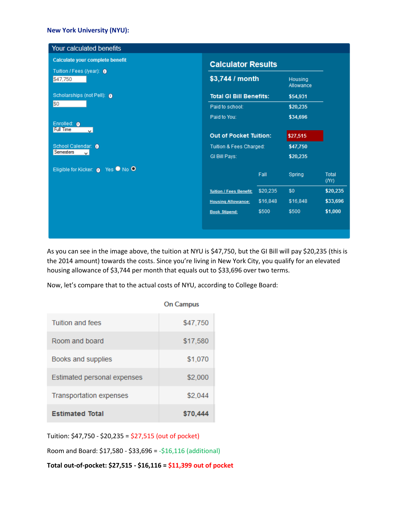#### **New York University (NYU):**

| Your calculated benefits                    |                                |          |                      |                      |
|---------------------------------------------|--------------------------------|----------|----------------------|----------------------|
| Calculate your complete benefit             | <b>Calculator Results</b>      |          |                      |                      |
| Tuition / Fees (/year): 0<br>\$47,750       | \$3,744 / month                |          | Housing<br>Allowance |                      |
| Scholarships (not Pell): 0                  | <b>Total GI Bill Benefits:</b> |          | \$54,931             |                      |
| \$0                                         | Paid to school:                |          | \$20,235             |                      |
|                                             | Paid to You:                   |          | \$34,696             |                      |
| Enrolled: 0<br><b>Full Time</b><br>$\omega$ | <b>Out of Pocket Tuition:</b>  |          | \$27,515             |                      |
| School Calendar: 0<br>Semesters<br>v.       | Tuition & Fees Charged:        |          | \$47,750             |                      |
|                                             | GI Bill Pays:                  |          | \$20,235             |                      |
| Eligible for Kicker: 0 Yes O No O           |                                | Fall     | Spring               | <b>Total</b><br>(Nr) |
|                                             | <b>Tuition / Fees Benefit:</b> | \$20,235 | \$0                  | \$20,235             |
|                                             | <b>Housing Allowance:</b>      | \$16,848 | \$16,848             | \$33,696             |
|                                             | <b>Book Stipend:</b>           | \$500    | \$500                | \$1,000              |
|                                             |                                |          |                      |                      |
|                                             |                                |          |                      |                      |

As you can see in the image above, the tuition at NYU is \$47,750, but the GI Bill will pay \$20,235 (this is the 2014 amount) towards the costs. Since you're living in New York City, you qualify for an elevated housing allowance of \$3,744 per month that equals out to \$33,696 over two terms.

Now, let's compare that to the actual costs of NYU, according to College Board:

|                                | <b>On Campus</b> |
|--------------------------------|------------------|
| Tuition and fees               | \$47,750         |
| Room and board                 | \$17,580         |
| Books and supplies             | \$1,070          |
| Estimated personal expenses    | \$2,000          |
| <b>Transportation expenses</b> | \$2,044          |
| <b>Estimated Total</b>         | \$70,444         |

Tuition: \$47,750 - \$20,235 = \$27,515 (out of pocket)

Room and Board: \$17,580 - \$33,696 = -\$16,116 (additional)

**Total out-of-pocket: \$27,515 - \$16,116 = \$11,399 out of pocket**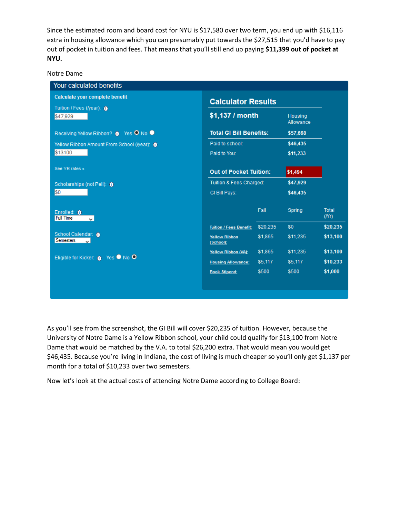Since the estimated room and board cost for NYU is \$17,580 over two term, you end up with \$16,116 extra in housing allowance which you can presumably put towards the \$27,515 that you'd have to pay out of pocket in tuition and fees. That means that you'll still end up paying **\$11,399 out of pocket at NYU.**

Notre Dame

| Calculate your complete benefit             | <b>Calculator Results</b><br>\$1,137 / month<br>Housing<br>Allowance |                         |          |               |
|---------------------------------------------|----------------------------------------------------------------------|-------------------------|----------|---------------|
| Tuition / Fees (/year): 0<br>\$47,929       |                                                                      |                         |          |               |
| Receiving Yellow Ribbon? O Yes O No O       | <b>Total GI Bill Benefits:</b>                                       |                         | \$57,668 |               |
| Yellow Ribbon Amount From School (/year): 0 | Paid to school:                                                      |                         | \$46,435 |               |
| \$13100                                     | Paid to You:                                                         |                         | \$11,233 |               |
| See YR rates »                              | <b>Out of Pocket Tuition:</b>                                        |                         | \$1,494  |               |
| Scholarships (not Pell): 0                  |                                                                      | Tuition & Fees Charged: |          |               |
| \$0                                         | GI Bill Pays:                                                        |                         | \$46,435 |               |
| Enrolled: 0<br><b>Full Time</b><br>$\vee$   |                                                                      | Fall                    | Spring   | Total<br>(Nr) |
|                                             | <b>Tuition / Fees Benefit:</b>                                       | \$20,235                | \$0      | \$20,235      |
| School Calendar: 0<br>Semesters<br>v.       | <b>Yellow Ribbon</b><br>(School):                                    | \$1,865                 | \$11,235 | \$13,100      |
|                                             | Yellow Ribbon (VA):                                                  | \$1,865                 | \$11,235 | \$13,100      |
| Eligible for Kicker: (a Yes ● No ●          | <b>Housing Allowance:</b>                                            | \$5,117                 | \$5,117  | \$10,233      |
|                                             | <b>Book Stipend:</b>                                                 | \$500                   | \$500    | \$1,000       |
|                                             |                                                                      |                         |          |               |

As you'll see from the screenshot, the GI Bill will cover \$20,235 of tuition. However, because the University of Notre Dame is a Yellow Ribbon school, your child could qualify for \$13,100 from Notre Dame that would be matched by the V.A. to total \$26,200 extra. That would mean you would get \$46,435. Because you're living in Indiana, the cost of living is much cheaper so you'll only get \$1,137 per month for a total of \$10,233 over two semesters.

Now let's look at the actual costs of attending Notre Dame according to College Board: